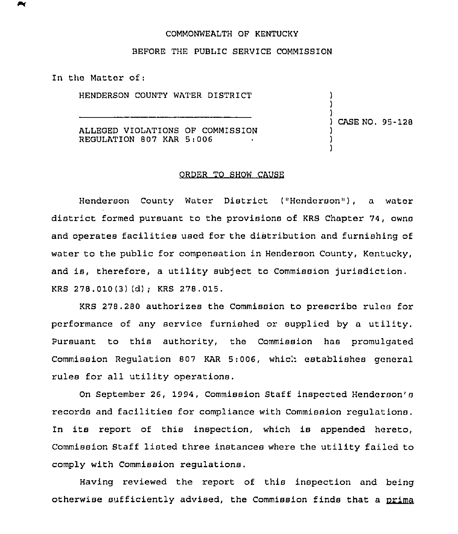## COMMONWEALTH OF KENTUCKY

## BEFORE THE PUBLIC SERVICE COMMISSION

In the Matter of:

HENDERSON COUNTY WATER DISTRICT

ALLEGED VIOLATIONS OF COMMISSION REGULATION 807 KAR 5:006

) CASE NO. 95-128

) ) )

> ) ) )

## ORDER TO SHOW CAUSE

Henderson County Water District ("Henderson"), a water district formed pursuant to the provisions of KRS Chapter 74, owns and operates facilities used for the distribution and furnishing of water to the public for compensation in Henderson County, Kentucky, and is, therefore, <sup>a</sup> utility subject to Commission jurisdiction. KRS 278.010(3)(d); KRS 278.015.

KRS 278.280 authorizes the Commission to prescribe rules for performance of any service furnished or supplied by a utility. Pursuant to this authority, the Commission has promulgated Commission Regulation 807 KAR 5:006, which establishes general rules for all utility operations.

On September 26, 1994, Commission Staff inspected Henderson's records and facilities for compliance with Commission regulations. In its report of this inspection, which is appended hereto, Commission Staff listed three instances where the utility failed to comply with Commission regulations.

Having reviewed the report of this inspection and being otherwise sufficiently advised, the Commission finds that a prima being<br>prima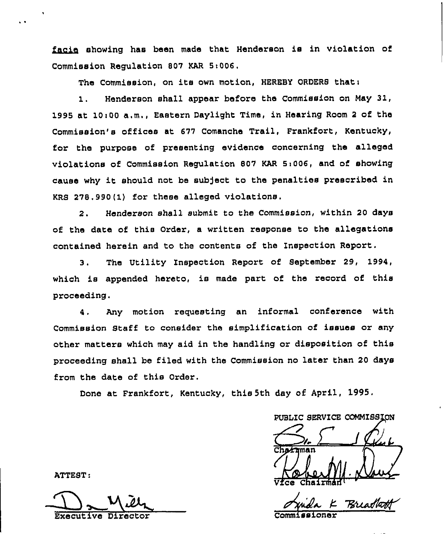facie showing has been made that Henderson is in violation of Commission Regulation 807 KAR 5i006.

The Commission, on its own motion, HEREBY ORDERS that:

1. Henderson shall appear before the Commission on May 31, 1995 at 10~00 a.m., Eastern Daylight Time, in Hearing Room <sup>2</sup> of the Commission's offices at 677 Comanche Trail, Frankfort, Kentucky, for the purpose of presenting evidence concerning the alleged violations of Commission Regulation 807 KAR 5:006, and of showing cause why it should not be subject to the penalties prescribed in KRS 278.990(1) for these alleged violations.

2. Henderson shall submit to the Commission, within 20 days of the date of this Qrder, a written response to the allegations contained herein and to the contents of the Inspection Report.

3. The Utility Znspection Report of September 29, 1994, which is appended hereto, is made part of the record of this proceeding.

4 . Any motion requesting an informal conference with Commission Staff to consider the simplification of issues or any other matters which may aid in the handling or disposition of this proceeding shall be filed with the Commission no later than 20 days from the date of this Order.

Done at Frankfort, Kentucky, this 5th day of April, 1995.

PUBLIC SERVICE COMMISSION

 $\sum_{r}$ Vice Chairman

Breadha

ATTEST:

Executive Director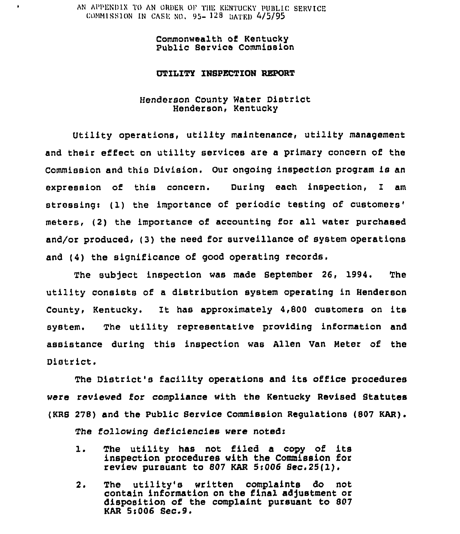AN APPENDIX TO AN ORDER OF THE KENTUCKY PUBLIC SERVICE COMMISSION IN CASE NO. 95- 128 DATED 4/5/95

> Commonwealth of Kentucky Public Service Commission

### UTILITY INSPECTION REPORT

# Henderson county water District Henderson, Kentucky

Utility operations, utility maintenance, utility management and their effect on utility services are a primary concern of the Commission and this Division. Our ongoing inspection program is an expression of this concern. During each inspection, 1 am stressing: (1) the importance of periodic testing of customers' meters, (2) the importance of accounting for all water purchased and/or produced, (3) the need for surveillance of system operations and (4) the significance of good operating records,

The subject inspection was made September 26, 1994. The utility consists of a distribution system operating in Henderson County, Kentucky. It has approximately 4,800 customers on its system. The utility representative providing information and assistance during this inspection was Allen Van Heter of the District.

The District's facility operations and its office procedures were reviewed for compliance with the Kentucky Revised Statutes (KRB 278) and the Public Service Commission Regulations (807 KAR). The following deficiencies vere notedr

- 1. The utility has not filed <sup>a</sup> copy of its inspection procedures with the Commission for review pursuant to 807 KAR  $5:006$  Sec.  $25(1)$ .
- 2. The utility's written complaints do not contain information on the final adjustment or disposition of the complaint pursuant to 807 KAR 51006 Sec.9.